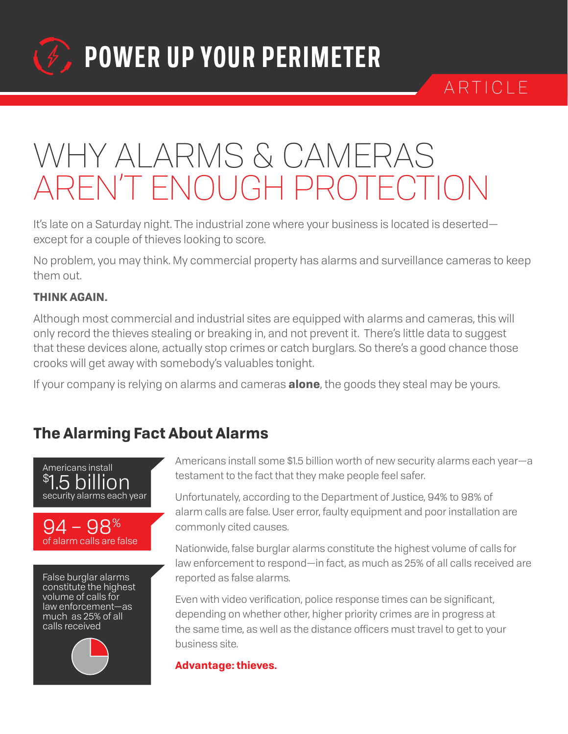

ARTICLE

## WHY ALARMS & CAMERAS AREN'T ENOUGH PROTECTION

It's late on a Saturday night. The industrial zone where your business is located is deserted except for a couple of thieves looking to score.

No problem, you may think. My commercial property has alarms and surveillance cameras to keep them out.

#### **THINK AGAIN.**

Although most commercial and industrial sites are equipped with alarms and cameras, this will only record the thieves stealing or breaking in, and not prevent it. There's little data to suggest that these devices alone, actually stop crimes or catch burglars. So there's a good chance those crooks will get away with somebody's valuables tonight.

If your company is relying on alarms and cameras **alone**, the goods they steal may be yours.

### **The Alarming Fact About Alarms**





Americans install some \$1.5 billion worth of new security alarms each year—a testament to the fact that they make people feel safer.

Unfortunately, according to the Department of Justice, 94% to 98% of alarm calls are false. User error, faulty equipment and poor installation are commonly cited causes.

Nationwide, false burglar alarms constitute the highest volume of calls for law enforcement to respond—in fact, as much as 25% of all calls received are reported as false alarms.

Even with video verification, police response times can be significant, depending on whether other, higher priority crimes are in progress at the same time, as well as the distance officers must travel to get to your business site.

**Advantage: thieves.**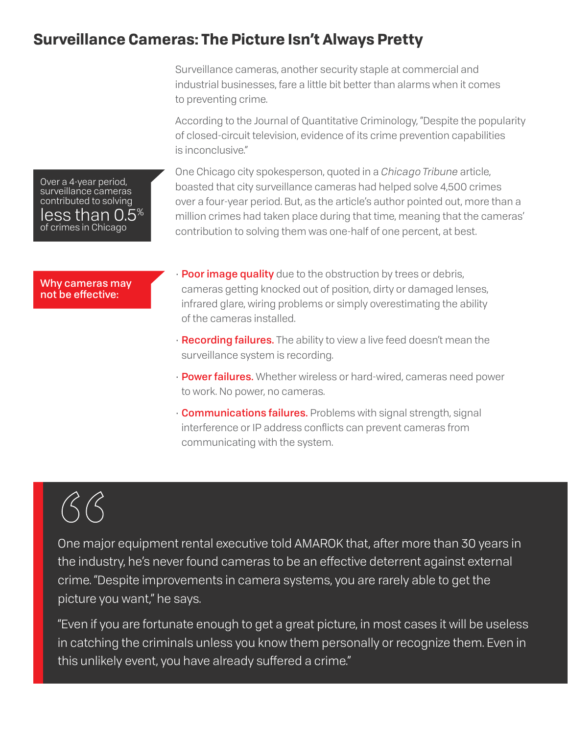#### **Surveillance Cameras: The Picture Isn't Always Pretty**

Surveillance cameras, another security staple at commercial and industrial businesses, fare a little bit better than alarms when it comes to preventing crime.

According to the Journal of Quantitative Criminology, "Despite the popularity of closed-circuit television, evidence of its crime prevention capabilities is inconclusive."

One Chicago city spokesperson, quoted in a *Chicago Tribune* article, boasted that city surveillance cameras had helped solve 4,500 crimes over a four-year period. But, as the article's author pointed out, more than a million crimes had taken place during that time, meaning that the cameras' contribution to solving them was one-half of one percent, at best.

Why cameras may not be effective:

Over a 4-year period, surveillance cameras contributed to solving less than 0.5% of crimes in Chicago

- Poor image quality due to the obstruction by trees or debris, cameras getting knocked out of position, dirty or damaged lenses, infrared glare, wiring problems or simply overestimating the ability of the cameras installed.
- Recording failures. The ability to view a live feed doesn't mean the surveillance system is recording.
- **Power failures.** Whether wireless or hard-wired, cameras need power to work. No power, no cameras.
- Communications failures. Problems with signal strength, signal interference or IP address conflicts can prevent cameras from communicating with the system.

One major equipment rental executive told AMAROK that, after more than 30 years in the industry, he's never found cameras to be an effective deterrent against external crime. "Despite improvements in camera systems, you are rarely able to get the picture you want," he says. CCC<br>
One major e<br>
the industry<br>
crime. "Desp<br>
picture you v

"Even if you are fortunate enough to get a great picture, in most cases it will be useless in catching the criminals unless you know them personally or recognize them. Even in this unlikely event, you have already suffered a crime."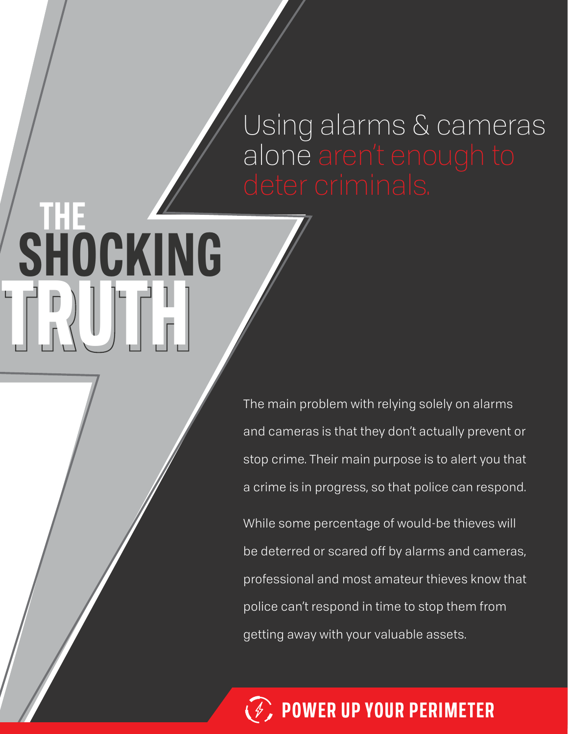# Using alarms & cameras alone aren't enough to

## The main problem with relying solely on alarms and cameras is that they don't actually prevent or stop crime. Their main purpose is to alert you that a crime is in progress, so that police can respond.

**TRUTH TRUTH**

 **SHOCKING**

 **THE**

While some percentage of would-be thieves will be deterred or scared off by alarms and cameras, professional and most amateur thieves know that police can't respond in time to stop them from getting away with your valuable assets.

**POWER UP YOUR PERIMETER**